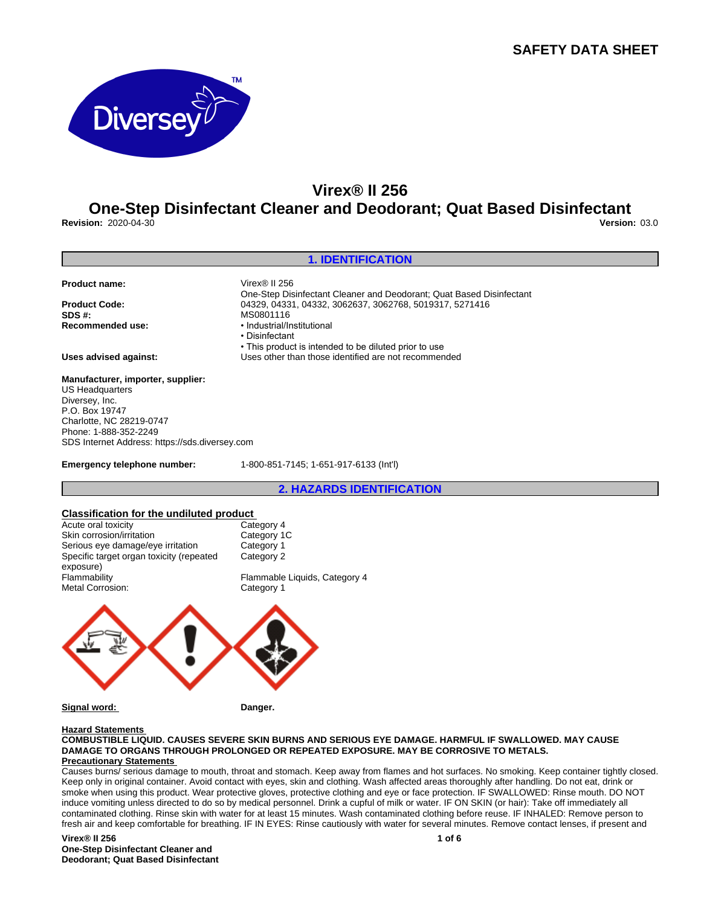

## **Virex® II 256**

## **One-Step Disinfectant Cleaner and Deodorant; Quat Based Disinfectant Revision:** 2020-04-30 **Version:** 03.0

## **1. IDENTIFICATION Product name:** Virex® II 256 One-Step Disinfectant Cleaner and Deodorant; Quat Based Disinfectant **Product Code:** 04329, 04331, 04332, 3062637, 3062768, 5019317, 5271416<br>**SDS #:** MS0801116 **SDS #:** MS0801116 **Recommended use:** •Industrial/Institutional •Disinfectant • This product is intended to be diluted prior to use **Uses advised against:** Uses other than those identified are not recommended **Manufacturer, importer, supplier:** US Headquarters Diversey, Inc. P.O. Box 19747 Charlotte, NC 28219-0747 Phone: 1-888-352-2249 SDS Internet Address: https://sds.diversey.com

**Emergency telephone number:** 1-800-851-7145; 1-651-917-6133 (Int'l)

## **2. HAZARDS IDENTIFICATION**

## **Classification for the undiluted product**



**Signal word: Danger.**

## **Hazard Statements**

#### **COMBUSTIBLE LIQUID. CAUSES SEVERE SKIN BURNS AND SERIOUS EYE DAMAGE. HARMFUL IF SWALLOWED. MAY CAUSE DAMAGE TO ORGANS THROUGH PROLONGED OR REPEATED EXPOSURE. MAY BE CORROSIVE TO METALS. Precautionary Statements**

Causes burns/ serious damage to mouth, throat and stomach. Keep away from flames and hot surfaces. No smoking. Keep container tightly closed. Keep only in original container. Avoid contact with eyes, skin and clothing. Wash affected areas thoroughly after handling. Do not eat, drink or smoke when using this product. Wear protective gloves, protective clothing and eye or face protection. IF SWALLOWED: Rinse mouth. DO NOT induce vomiting unless directed to do so by medical personnel. Drink a cupful of milk or water. IF ON SKIN (or hair): Take off immediately all contaminated clothing. Rinse skin with water for at least 15 minutes. Wash contaminated clothing before reuse. IF INHALED: Remove person to fresh air and keep comfortable for breathing. IF IN EYES: Rinse cautiously with water for several minutes. Remove contact lenses, if present and

#### **Virex® II 256 One-Step Disinfectant Cleaner and Deodorant; Quat Based Disinfectant**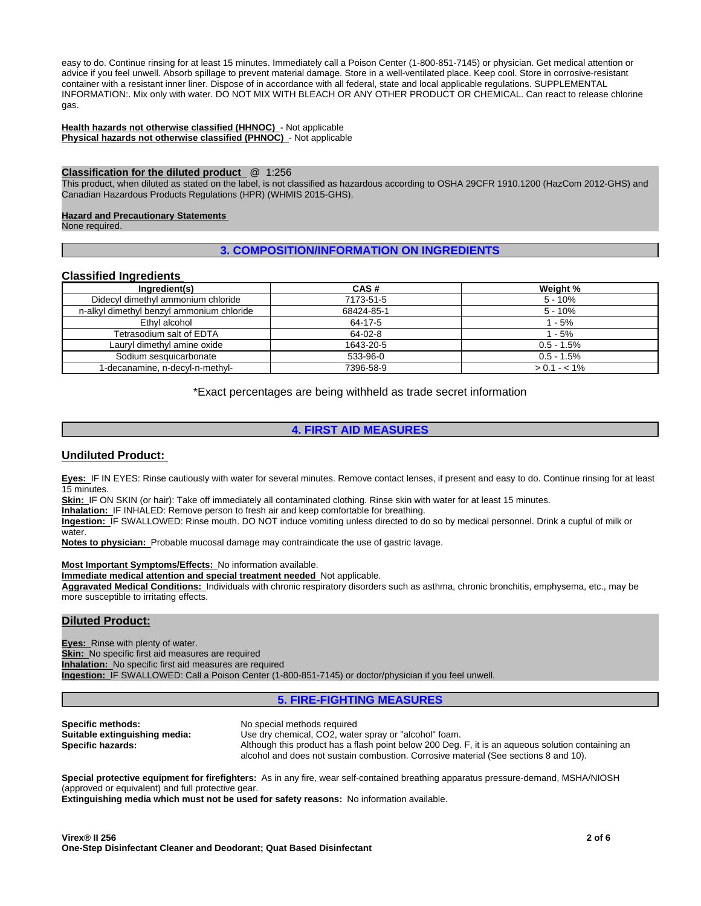easy to do. Continue rinsing for at least 15 minutes. Immediately call a Poison Center (1-800-851-7145) or physician. Get medical attention or advice if you feel unwell. Absorb spillage to prevent material damage. Store in a well-ventilated place. Keep cool. Store in corrosive-resistant container with a resistant inner liner. Dispose of in accordance with all federal, state and local applicable regulations. SUPPLEMENTAL INFORMATION:. Mix only with water. DO NOT MIX WITH BLEACH OR ANY OTHER PRODUCT OR CHEMICAL. Can react to release chlorine gas.

**Health hazards not otherwise classified (HHNOC)** - Not applicable **Physical hazards not otherwise classified (PHNOC)** - Not applicable

#### **Classification for the diluted product** @ 1:256

This product, when diluted as stated on the label, is not classified as hazardous according to OSHA 29CFR 1910.1200 (HazCom 2012-GHS) and Canadian Hazardous Products Regulations (HPR) (WHMIS 2015-GHS).

## **Hazard and Precautionary Statements**

None required.

## **3. COMPOSITION/INFORMATION ON INGREDIENTS**

## **Classified Ingredients**

| Ingredient(s)                             | CAS#       | Weight %      |
|-------------------------------------------|------------|---------------|
| Didecyl dimethyl ammonium chloride        | 7173-51-5  | $5 - 10%$     |
| n-alkyl dimethyl benzyl ammonium chloride | 68424-85-1 | $5 - 10%$     |
| Ethyl alcohol                             | 64-17-5    | $1 - 5%$      |
| Tetrasodium salt of EDTA                  | 64-02-8    | $1 - 5%$      |
| Lauryl dimethyl amine oxide               | 1643-20-5  | $0.5 - 1.5%$  |
| Sodium sesquicarbonate                    | 533-96-0   | $0.5 - 1.5%$  |
| I-decanamine, n-decyl-n-methyl-           | 7396-58-9  | $> 0.1 - 1\%$ |

\*Exact percentages are being withheld as trade secret information

## **4. FIRST AID MEASURES**

## **Undiluted Product:**

**Eyes:** IF IN EYES: Rinse cautiously with water for several minutes. Remove contact lenses, if present and easy to do. Continue rinsing for at least 15 minutes.

**Skin:** IF ON SKIN (or hair): Take off immediately all contaminated clothing. Rinse skin with water for at least 15 minutes.

**Inhalation:** IF INHALED: Remove person to fresh air and keep comfortable for breathing.

**Ingestion:** IF SWALLOWED: Rinse mouth. DO NOT induce vomiting unless directed to do so by medical personnel. Drink a cupful of milk or water.

**Notes to physician:** Probable mucosal damage may contraindicate the use of gastric lavage.

#### **Most Important Symptoms/Effects:** No information available.

**Immediate medical attention and special treatment needed** Not applicable.

**Aggravated Medical Conditions:** Individuals with chronic respiratory disorders such as asthma, chronic bronchitis, emphysema, etc., may be more susceptible to irritating effects.

## **Diluted Product:**

**Eyes:** Rinse with plenty of water. **Skin:** No specific first aid measures are required **Inhalation:** No specific first aid measures are required **Ingestion:** IF SWALLOWED: Call a Poison Center (1-800-851-7145) or doctor/physician if you feel unwell.

## **5. FIRE-FIGHTING MEASURES**

**Specific methods:** No special methods required<br> **Suitable extinguishing media:** Use dry chemical, CO2, wate

Use dry chemical, CO2, water spray or "alcohol" foam. **Specific hazards: Although this product has a flash point below 200 Deg. F, it is an aqueous solution containing an** alcohol and does not sustain combustion. Corrosive material (See sections 8 and 10).

**Special protective equipment for firefighters:** As in any fire, wear self-contained breathing apparatus pressure-demand, MSHA/NIOSH (approved or equivalent) and full protective gear.

**Extinguishing media which must not be used for safety reasons:** No information available.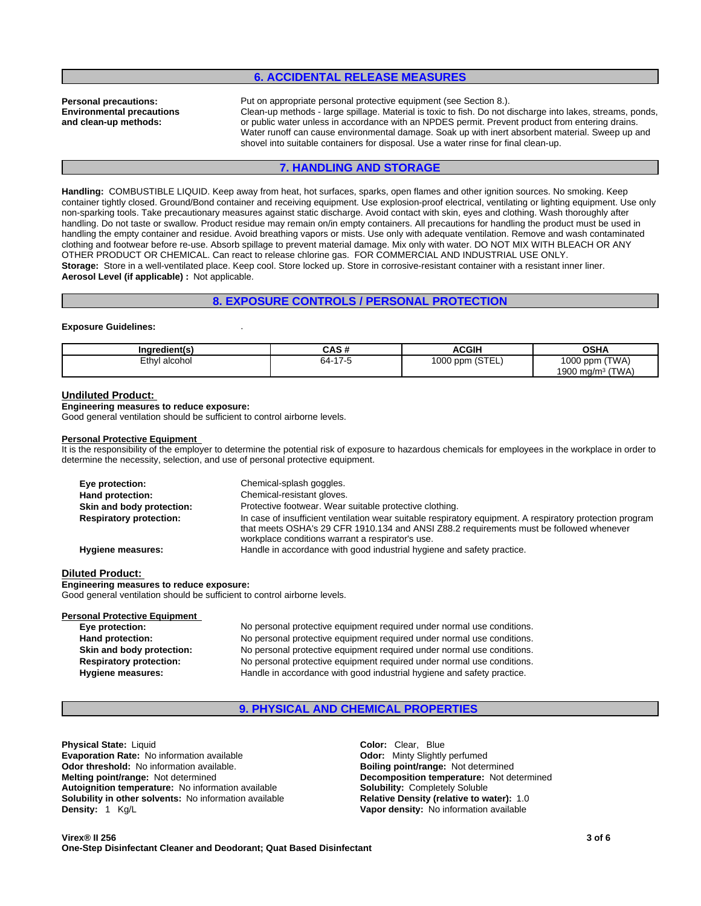## **6. ACCIDENTAL RELEASE MEASURES**

**Environmental precautions and clean-up methods:**

**Personal precautions:** Put on appropriate personal protective equipment (see Section 8.). Clean-up methods - large spillage. Material is toxic to fish. Do not discharge into lakes, streams, ponds, or public water unless in accordance with an NPDES permit. Prevent product from entering drains. Water runoff can cause environmental damage. Soak up with inert absorbent material. Sweep up and shovel into suitable containers for disposal. Use a water rinse for final clean-up.

## **7. HANDLING AND STORAGE**

**Handling:** COMBUSTIBLE LIQUID. Keep away from heat, hot surfaces, sparks, open flames and other ignition sources. No smoking. Keep container tightly closed. Ground/Bond container and receiving equipment. Use explosion-proof electrical, ventilating or lighting equipment. Use only non-sparking tools. Take precautionary measures against static discharge. Avoid contact with skin, eyes and clothing. Wash thoroughly after handling. Do not taste or swallow. Product residue may remain on/in empty containers. All precautions for handling the product must be used in handling the empty container and residue. Avoid breathing vapors or mists. Use only with adequate ventilation. Remove and wash contaminated clothing and footwear before re-use. Absorb spillage to prevent material damage. Mix only with water. DO NOT MIX WITH BLEACH OR ANY OTHER PRODUCT OR CHEMICAL. Can react to release chlorine gas. FOR COMMERCIAL AND INDUSTRIAL USE ONLY. **Storage:** Store in a well-ventilated place. Keep cool. Store locked up. Store in corrosive-resistant container with a resistant inner liner. **Aerosol Level (if applicable) :** Not applicable.

## **8. EXPOSURE CONTROLS / PERSONAL PROTECTION**

#### **Exposure Guidelines:** .

| Ingredient(s)                | . <i>. .</i><br>ו טרוט           | <b>ACGIH</b>                               | ∩ເ⊔∧<br>אחט                                     |
|------------------------------|----------------------------------|--------------------------------------------|-------------------------------------------------|
| alcohol<br>=+h.<br>'' ایا ۔۔ | 47 <sup>2</sup><br>64-<br>$\sim$ | $\sqrt{2}$<br>$^{\prime}000$<br>ppm (STEL) | (TWA)<br>1000<br>opm ا<br>(TWA)<br>1900<br>ma/m |

#### **Undiluted Product:**

**Engineering measures to reduce exposure:** Good general ventilation should be sufficient to control airborne levels.

#### **Personal Protective Equipment**

It is the responsibility of the employer to determine the potential risk of exposure to hazardous chemicals for employees in the workplace in order to determine the necessity, selection, and use of personal protective equipment.

| Eye protection:                | Chemical-splash goggles.                                                                                                                                                                                                                                 |
|--------------------------------|----------------------------------------------------------------------------------------------------------------------------------------------------------------------------------------------------------------------------------------------------------|
| Hand protection:               | Chemical-resistant gloves.                                                                                                                                                                                                                               |
| Skin and body protection:      | Protective footwear. Wear suitable protective clothing.                                                                                                                                                                                                  |
| <b>Respiratory protection:</b> | In case of insufficient ventilation wear suitable respiratory equipment. A respiratory protection program<br>that meets OSHA's 29 CFR 1910.134 and ANSI Z88.2 requirements must be followed whenever<br>workplace conditions warrant a respirator's use. |
| Hygiene measures:              | Handle in accordance with good industrial hygiene and safety practice.                                                                                                                                                                                   |

#### **Diluted Product:**

**Engineering measures to reduce exposure:**

Good general ventilation should be sufficient to control airborne levels.

# **Personal Protective Equipment**<br>Eye protection:

No personal protective equipment required under normal use conditions. **Hand protection:** No personal protective equipment required under normal use conditions. **Skin and body protection:** No personal protective equipment required under normal use conditions. **Respiratory protection:** No personal protective equipment required under normal use conditions. **Hygiene measures:** Handle in accordance with good industrial hygiene and safety practice.

## **9. PHYSICAL AND CHEMICAL PROPERTIES**

**Physical State:** Liquid **Color:** Clear, Blue **Color:** Clear, Blue **Color:** Clear, Blue **Color:** Clear, Blue **Color:** Clear, Blue **Color:** Clear, Blue **Color:** Clear, Blue **Color:** Clear, Blue **Color:** Clear, Clear, Clear, **Evaporation Rate: No information available Odor threshold:** No information available. **Boiling point/range: Not determined Melting point/range:** Not determined **Melting point/range:** Not determined **Autoignition temperature:** No information available **Solubility:** Completely Soluble **Solubility in other solvents:** No information available **Relative Density (relative to water):** 1.0 **Density:** 1 Kg/L **Vapor density:** No information available

**Decomposition temperature:** Not determined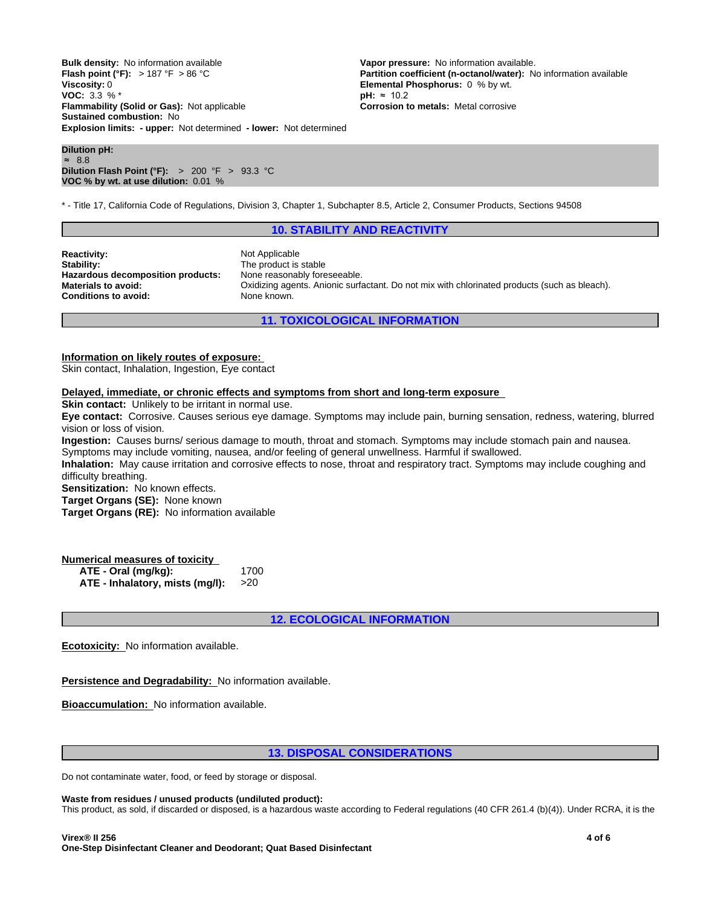**Explosion limits: - upper:** Not determined **- lower:** Not determined **Bulk density:** No information available **Vapor pressure:** No information available.<br> **Flash point (°F):** > 187 °F > 86 °C **Partition coefficient (n-octanol/water):** N **Viscosity:** 0 **CONSEX 6 & CONSEX 6 & CONSEX 6 & CONSEX 6 & CONSEX 6 & CONSEX 6 & CONSEX 6 & CONSEX 6 & CONSEX 6 & CONSEX 6 & CONSEX 6 & CONSEX 6 & CONSEX 6 & CONSEX 6 & CONSEX 6 & CONSEX 6 & CONSEX 6 & CONSEX 6 & CONSEX VOC:** 3.3 % \*<br>**Flammability (Solid or Gas):** Not applicable **by the absolut of the Corrosion to metals:** Metal corrosive **Flammability (Solid or Gas): Not applicable Sustained combustion:** No

**Dilution pH:** ≈ 8.8 **Dilution Flash Point (°F):** > 200 °F > 93.3 °C **VOC % by wt. at use dilution:** 0.01 %

**Partition coefficient (n-octanol/water):** No information available

\* - Title 17, California Code of Regulations, Division 3, Chapter 1, Subchapter 8.5, Article 2, Consumer Products, Sections 94508

## **10. STABILITY AND REACTIVITY**

**Reactivity:** Not Applicable Stability: Not Applicable Stability: **Hazardous decomposition products: Conditions to avoid:** None known.

The product is stable<br>None reasonably foreseeable. **Materials to avoid:** Oxidizing agents. Anionic surfactant. Do not mix with chlorinated products (such as bleach).

**11. TOXICOLOGICAL INFORMATION**

**Information on likely routes of exposure:**

Skin contact, Inhalation, Ingestion, Eye contact

#### **Delayed, immediate, or chronic effects and symptoms from short and long-term exposure**

**Skin contact:** Unlikely to be irritant in normal use.

**Eye contact:** Corrosive. Causes serious eye damage. Symptoms may include pain, burning sensation, redness, watering, blurred vision or loss of vision.

**Ingestion:** Causes burns/ serious damage to mouth, throat and stomach. Symptoms may include stomach pain and nausea. Symptoms may include vomiting, nausea, and/or feeling of general unwellness. Harmful if swallowed.

**Inhalation:** May cause irritation and corrosive effects to nose, throat and respiratory tract. Symptoms may include coughing and difficulty breathing.

**Sensitization:** No known effects.

**Target Organs (SE):** None known

**Target Organs (RE):** No information available

## **Numerical measures of toxicity**

**ATE - Oral (mg/kg):** 1700 **ATE - Inhalatory, mists (mg/l):** >20

**12. ECOLOGICAL INFORMATION**

**Ecotoxicity:** No information available.

**Persistence and Degradability:** No information available.

**Bioaccumulation:** No information available.

## **13. DISPOSAL CONSIDERATIONS**

Do not contaminate water, food, or feed by storage or disposal.

#### **Waste from residues / unused products (undiluted product):**

This product, as sold, if discarded or disposed, is a hazardous waste according to Federal regulations (40 CFR 261.4 (b)(4)). Under RCRA, it is the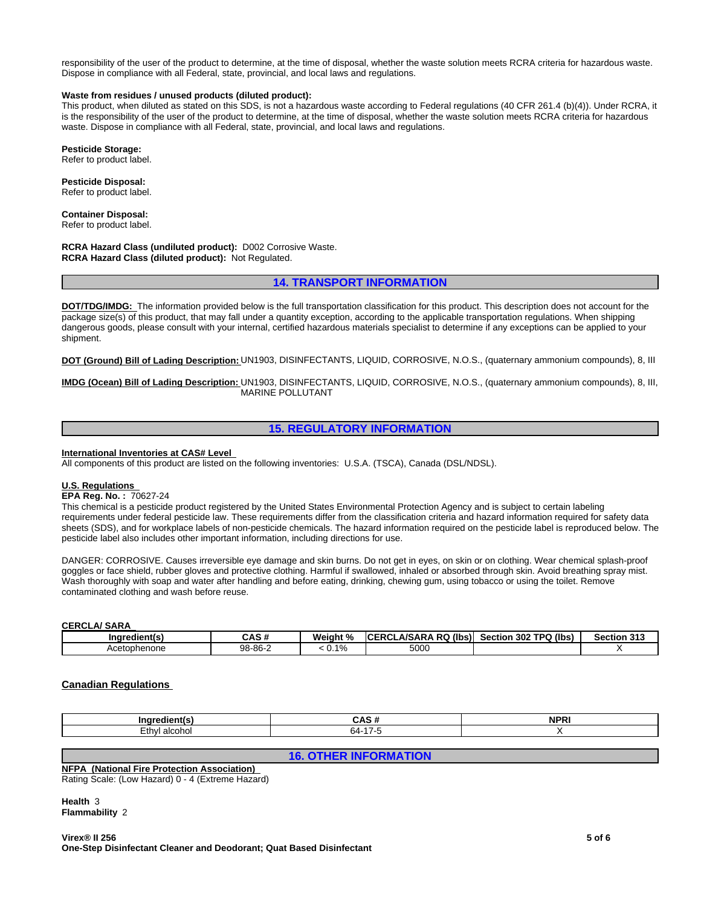responsibility of the user of the product to determine, at the time of disposal, whether the waste solution meets RCRA criteria for hazardous waste. Dispose in compliance with all Federal, state, provincial, and local laws and regulations.

## **Waste from residues / unused products (diluted product):**

This product, when diluted as stated on this SDS, is not a hazardous waste according to Federal regulations (40 CFR 261.4 (b)(4)). Under RCRA, it is the responsibility of the user of the product to determine, at the time of disposal, whether the waste solution meets RCRA criteria for hazardous waste. Dispose in compliance with all Federal, state, provincial, and local laws and regulations.

#### **Pesticide Storage:**

Refer to product label.

**Pesticide Disposal:** Refer to product label.

**Container Disposal:** Refer to product label.

**RCRA Hazard Class (undiluted product):** D002 Corrosive Waste. **RCRA Hazard Class (diluted product):** Not Regulated.

## **14. TRANSPORT INFORMATION**

**DOT/TDG/IMDG:** The information provided below is the full transportation classification for this product. This description does not account for the package size(s) of this product, that may fall under a quantity exception, according to the applicable transportation regulations. When shipping dangerous goods, please consult with your internal, certified hazardous materials specialist to determine if any exceptions can be applied to your shipment.

**DOT (Ground) Bill of Lading Description:** UN1903, DISINFECTANTS, LIQUID, CORROSIVE, N.O.S., (quaternary ammonium compounds), 8, III

**IMDG (Ocean) Bill of Lading Description:** UN1903, DISINFECTANTS, LIQUID, CORROSIVE, N.O.S., (quaternary ammonium compounds), 8, III, MARINE POLLUTANT

## **15. REGULATORY INFORMATION**

## **International Inventories at CAS# Level**

All components of this product are listed on the following inventories: U.S.A. (TSCA), Canada (DSL/NDSL).

## **U.S. Regulations**

## **EPA Reg. No. :** 70627-24

This chemical is a pesticide product registered by the United States Environmental Protection Agency and is subject to certain labeling requirements under federal pesticide law. These requirements differ from the classification criteria and hazard information required for safety data sheets (SDS), and for workplace labels of non-pesticide chemicals. The hazard information required on the pesticide label is reproduced below. The pesticide label also includes other important information, including directions for use.

DANGER: CORROSIVE. Causes irreversible eye damage and skin burns. Do not get in eyes, on skin or on clothing. Wear chemical splash-proof goggles or face shield, rubber gloves and protective clothing. Harmful if swallowed, inhaled or absorbed through skin. Avoid breathing spray mist. Wash thoroughly with soap and water after handling and before eating, drinking, chewing gum, using tobacco or using the toilet. Remove contaminated clothing and wash before reuse.

## **CERCLA/ SARA**

| --<br>Indredient(s) | $\sim$ . $\sim$<br>ъ.<br>ษคว # | Weiaht<br>ιn. | (lbs)<br><b>RQ</b><br>.A/SARA<br>$-$<br>- 00'<br>ື | 302 TPQ (lbs)<br>Section | <b>Section 313</b> |
|---------------------|--------------------------------|---------------|----------------------------------------------------|--------------------------|--------------------|
| Acetophenone        | 98-86-2                        | 10/<br>-70    | 5000                                               |                          |                    |

## **Canadian Regulations**

| <br>$\sim$ |  |
|------------|--|

**16. OTHER INFORMATION**

## **NFPA (National Fire Protection Association)**

Rating Scale: (Low Hazard) 0 - 4 (Extreme Hazard)

**Health** 3 **Flammability** 2